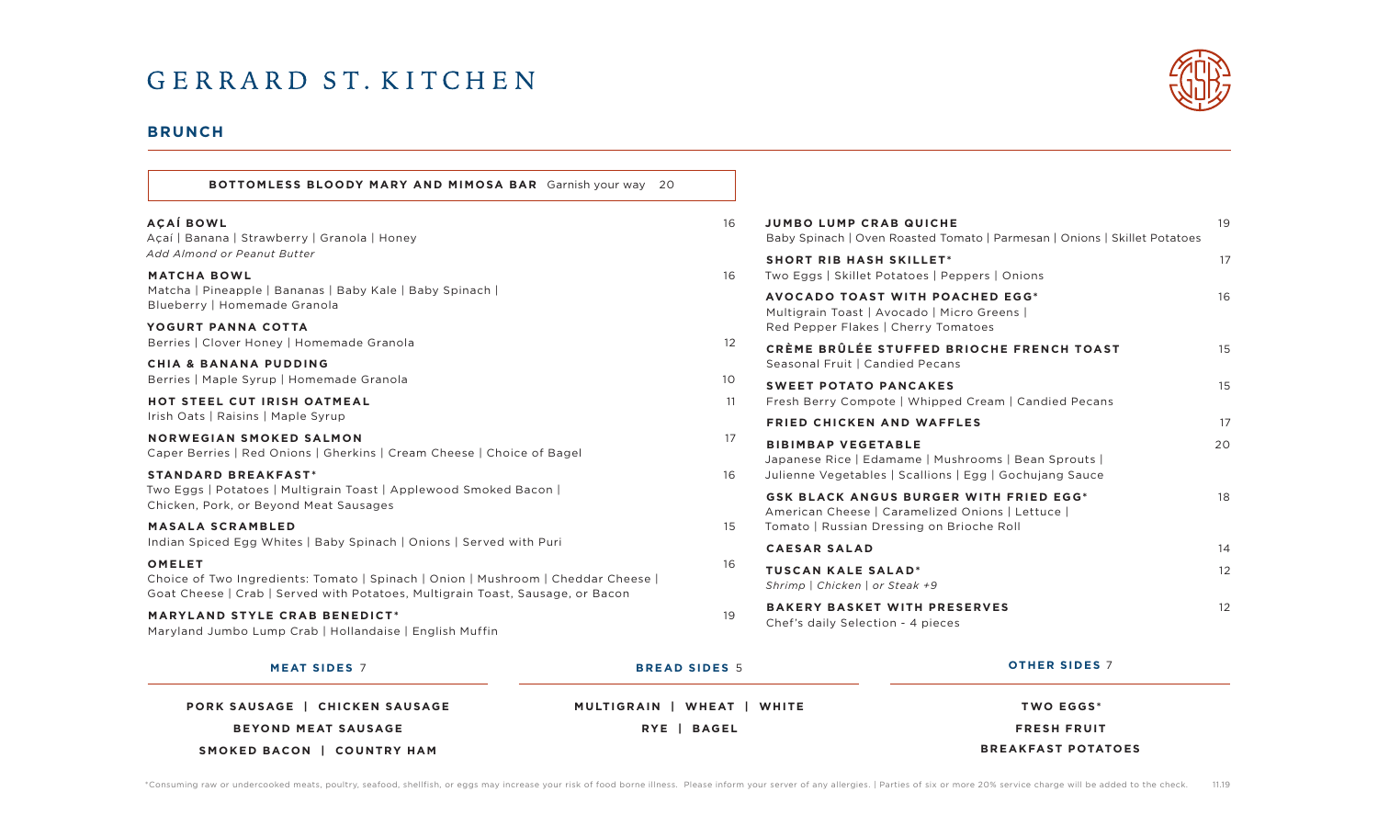# GERRARD ST. KITCHEN

# **BRUNCH**

**AÇAÍ BOWL** 16 **JUMBO LUMP CRAB QUICHE** 19 Baby Spinach | Oven Roasted Tomato | Parmesan | Onions | Skillet Potatoes **BOTTOMLESS BLOODY MARY AND MIMOSA BAR** Garnish your way 20

**MATCHA BOWL** Matcha | Pineapple | Bananas | Baby Kale | Baby Spinach | Blueberry | Homemade Granola

YOGURT PANNA COTTA Berries | Clover Honey | Homemade Granola

Açaí | Banana | Strawberry | Granola | Honey

*Add Almond or Peanut Butter*

**CHIA & BANANA PUDDING** Berries | Maple Syrup | Homemade Granola

**HOT STEEL CUT IRISH OATMEAL** Irish Oats | Raisins | Maple Syrup

**NORWEGIAN SMOKED SALMON** Caper Berries | Red Onions | Gherkins | Cream Cheese | Choice of Bagel

**STANDARD BREAKFAST\*** Two Eggs | Potatoes | Multigrain Toast | Applewood Smoked Bacon | Chicken, Pork, or Beyond Meat Sausages

**MASALA SCRAMBLED** Indian Spiced Egg Whites | Baby Spinach | Onions | Served with Puri

### **OMELET** 16

Choice of Two Ingredients: Tomato | Spinach | Onion | Mushroom | Cheddar Cheese | Goat Cheese | Crab | Served with Potatoes, Multigrain Toast, Sausage, or Bacon

**MARYLAND STYLE CRAB BENEDICT\*** 19

Maryland Jumbo Lump Crab | Hollandaise | English Muffin

|                   | Baby Spinach   Oven Roasted Tomato   Parmesan   Onions   Skillet Potatoes                                                                      |    |
|-------------------|------------------------------------------------------------------------------------------------------------------------------------------------|----|
| 16                | <b>SHORT RIB HASH SKILLET*</b><br>Two Eggs   Skillet Potatoes   Peppers   Onions                                                               | 17 |
|                   | <b>AVOCADO TOAST WITH POACHED EGG*</b><br>Multigrain Toast   Avocado   Micro Greens  <br>Red Pepper Flakes   Cherry Tomatoes                   | 16 |
| $12 \overline{ }$ | CRÈME BRÛLÉE STUFFED BRIOCHE FRENCH TOAST<br>Seasonal Fruit   Candied Pecans                                                                   | 15 |
| 10                | <b>SWEET POTATO PANCAKES</b>                                                                                                                   | 15 |
| 11                | Fresh Berry Compote   Whipped Cream   Candied Pecans                                                                                           |    |
|                   | <b>FRIED CHICKEN AND WAFFLES</b>                                                                                                               | 17 |
| 17<br>16          | <b>BIBIMBAP VEGETABLE</b><br>Japanese Rice   Edamame   Mushrooms   Bean Sprouts  <br>Julienne Vegetables   Scallions   Egg   Gochujang Sauce   | 20 |
| 15                | <b>GSK BLACK ANGUS BURGER WITH FRIED EGG*</b><br>American Cheese   Caramelized Onions   Lettuce  <br>Tomato   Russian Dressing on Brioche Roll | 18 |
|                   |                                                                                                                                                |    |

**CAESAR SALAD** 14 **TUSCAN KALE SALAD\*** 12 *Shrimp | Chicken | or Steak +9* **BAKERY BASKET WITH PRESERVES** 12

Chef's daily Selection - 4 pieces

| <b>MEAT SIDES 7</b>                   | <b>BREAD SIDES 5</b>          | <b>OTHER SIDES 7</b>      |  |
|---------------------------------------|-------------------------------|---------------------------|--|
| <b>PORK SAUSAGE</b>   CHICKEN SAUSAGE | MULTIGRAIN   WHEAT  <br>WHITE | <b>TWO EGGS*</b>          |  |
| <b>BEYOND MEAT SAUSAGE</b>            | RYE   BAGEL                   | <b>FRESH FRUIT</b>        |  |
| SMOKED BACON   COUNTRY HAM            |                               | <b>BREAKFAST POTATOES</b> |  |